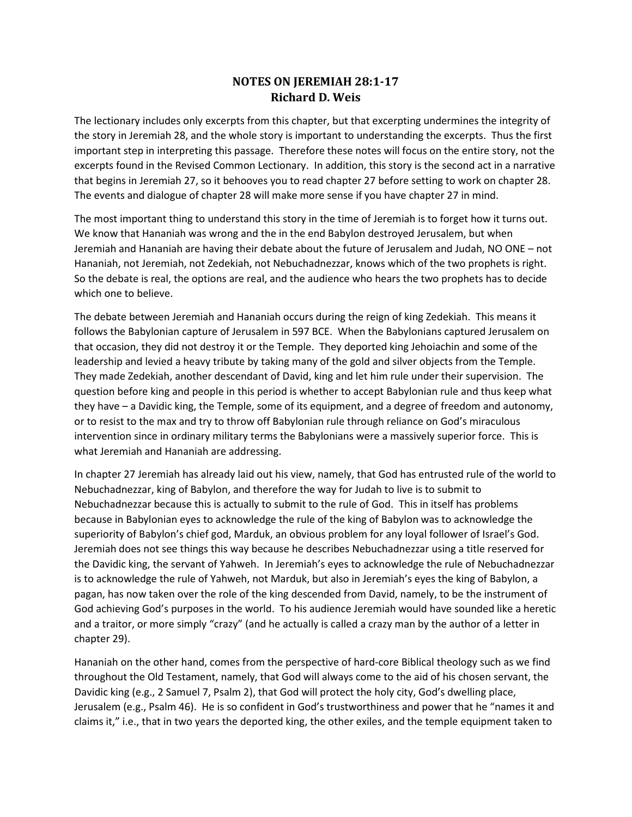## **NOTES ON JEREMIAH 28:1-17 Richard D. Weis**

The lectionary includes only excerpts from this chapter, but that excerpting undermines the integrity of the story in Jeremiah 28, and the whole story is important to understanding the excerpts. Thus the first important step in interpreting this passage. Therefore these notes will focus on the entire story, not the excerpts found in the Revised Common Lectionary. In addition, this story is the second act in a narrative that begins in Jeremiah 27, so it behooves you to read chapter 27 before setting to work on chapter 28. The events and dialogue of chapter 28 will make more sense if you have chapter 27 in mind.

The most important thing to understand this story in the time of Jeremiah is to forget how it turns out. We know that Hananiah was wrong and the in the end Babylon destroyed Jerusalem, but when Jeremiah and Hananiah are having their debate about the future of Jerusalem and Judah, NO ONE – not Hananiah, not Jeremiah, not Zedekiah, not Nebuchadnezzar, knows which of the two prophets is right. So the debate is real, the options are real, and the audience who hears the two prophets has to decide which one to believe.

The debate between Jeremiah and Hananiah occurs during the reign of king Zedekiah. This means it follows the Babylonian capture of Jerusalem in 597 BCE. When the Babylonians captured Jerusalem on that occasion, they did not destroy it or the Temple. They deported king Jehoiachin and some of the leadership and levied a heavy tribute by taking many of the gold and silver objects from the Temple. They made Zedekiah, another descendant of David, king and let him rule under their supervision. The question before king and people in this period is whether to accept Babylonian rule and thus keep what they have – a Davidic king, the Temple, some of its equipment, and a degree of freedom and autonomy, or to resist to the max and try to throw off Babylonian rule through reliance on God's miraculous intervention since in ordinary military terms the Babylonians were a massively superior force. This is what Jeremiah and Hananiah are addressing.

In chapter 27 Jeremiah has already laid out his view, namely, that God has entrusted rule of the world to Nebuchadnezzar, king of Babylon, and therefore the way for Judah to live is to submit to Nebuchadnezzar because this is actually to submit to the rule of God. This in itself has problems because in Babylonian eyes to acknowledge the rule of the king of Babylon was to acknowledge the superiority of Babylon's chief god, Marduk, an obvious problem for any loyal follower of Israel's God. Jeremiah does not see things this way because he describes Nebuchadnezzar using a title reserved for the Davidic king, the servant of Yahweh. In Jeremiah's eyes to acknowledge the rule of Nebuchadnezzar is to acknowledge the rule of Yahweh, not Marduk, but also in Jeremiah's eyes the king of Babylon, a pagan, has now taken over the role of the king descended from David, namely, to be the instrument of God achieving God's purposes in the world. To his audience Jeremiah would have sounded like a heretic and a traitor, or more simply "crazy" (and he actually is called a crazy man by the author of a letter in chapter 29).

Hananiah on the other hand, comes from the perspective of hard-core Biblical theology such as we find throughout the Old Testament, namely, that God will always come to the aid of his chosen servant, the Davidic king (e.g., 2 Samuel 7, Psalm 2), that God will protect the holy city, God's dwelling place, Jerusalem (e.g., Psalm 46). He is so confident in God's trustworthiness and power that he "names it and claims it," i.e., that in two years the deported king, the other exiles, and the temple equipment taken to